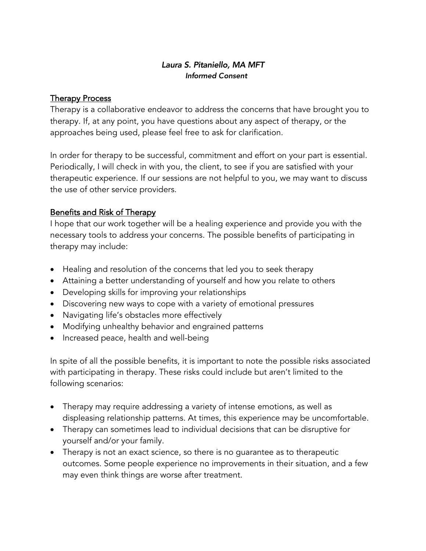### *Laura S. Pitaniello, MA MFT Informed Consent*

#### Therapy Process

Therapy is a collaborative endeavor to address the concerns that have brought you to therapy. If, at any point, you have questions about any aspect of therapy, or the approaches being used, please feel free to ask for clarification.

In order for therapy to be successful, commitment and effort on your part is essential. Periodically, I will check in with you, the client, to see if you are satisfied with your therapeutic experience. If our sessions are not helpful to you, we may want to discuss the use of other service providers.

# Benefits and Risk of Therapy

I hope that our work together will be a healing experience and provide you with the necessary tools to address your concerns. The possible benefits of participating in therapy may include:

- Healing and resolution of the concerns that led you to seek therapy
- Attaining a better understanding of yourself and how you relate to others
- Developing skills for improving your relationships
- Discovering new ways to cope with a variety of emotional pressures
- Navigating life's obstacles more effectively
- Modifying unhealthy behavior and engrained patterns
- Increased peace, health and well-being

In spite of all the possible benefits, it is important to note the possible risks associated with participating in therapy. These risks could include but aren't limited to the following scenarios:

- Therapy may require addressing a variety of intense emotions, as well as displeasing relationship patterns. At times, this experience may be uncomfortable.
- Therapy can sometimes lead to individual decisions that can be disruptive for yourself and/or your family.
- Therapy is not an exact science, so there is no guarantee as to therapeutic outcomes. Some people experience no improvements in their situation, and a few may even think things are worse after treatment.